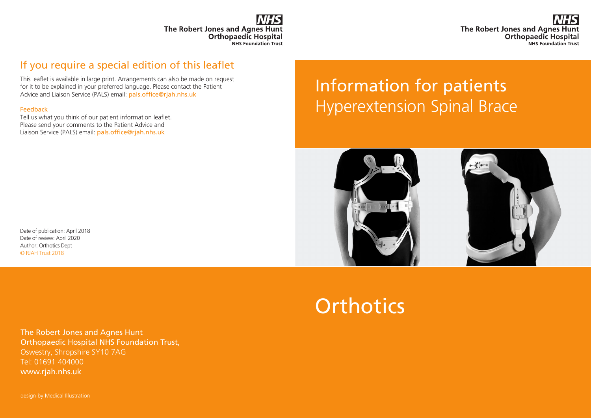The Robert Jones and Agnes Hunt **Orthopaedic Hospital NHS Foundation Trust** 

## If you require a special edition of this leaflet

This leaflet is available in large print. Arrangements can also be made on request for it to be explained in your preferred language. Please contact the Patient Advice and Liaison Service (PALS) email: pals.office@rjah.nhs.uk

#### Feedback

Tell us what you think of our patient information leaflet. Please send your comments to the Patient Advice and Liaison Service (PALS) email: pals.office@rjah.nhs.uk

Date of publication: April 2018 Date of review: April 2020 Author: Orthotics Dept © RJAH Trust 2018

Information for patients Hyperextension Spinal Brace



# **Orthotics**

The Robert Jones and Agnes Hunt Orthopaedic Hospital NHS Foundation Trust, Oswestry, Shropshire SY10 7AG Tel: 01691 404000 www.rjah.nhs.uk

design by Medical Illustration